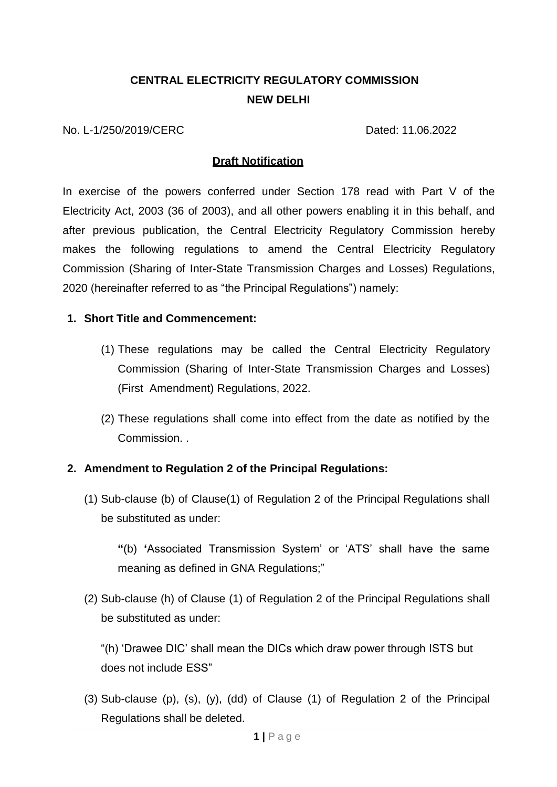# **CENTRAL ELECTRICITY REGULATORY COMMISSION NEW DELHI**

No. L-1/250/2019/CERC Dated: 11.06.2022

#### **Draft Notification**

In exercise of the powers conferred under Section 178 read with Part V of the Electricity Act, 2003 (36 of 2003), and all other powers enabling it in this behalf, and after previous publication, the Central Electricity Regulatory Commission hereby makes the following regulations to amend the Central Electricity Regulatory Commission (Sharing of Inter-State Transmission Charges and Losses) Regulations, 2020 (hereinafter referred to as "the Principal Regulations") namely:

#### **1. Short Title and Commencement:**

- (1) These regulations may be called the Central Electricity Regulatory Commission (Sharing of Inter-State Transmission Charges and Losses) (First Amendment) Regulations, 2022.
- (2) These regulations shall come into effect from the date as notified by the Commission. .

#### **2. Amendment to Regulation 2 of the Principal Regulations:**

(1) Sub-clause (b) of Clause(1) of Regulation 2 of the Principal Regulations shall be substituted as under:

**"**(b) **'**Associated Transmission System' or 'ATS' shall have the same meaning as defined in GNA Regulations;"

(2) Sub-clause (h) of Clause (1) of Regulation 2 of the Principal Regulations shall be substituted as under:

"(h) 'Drawee DIC' shall mean the DICs which draw power through ISTS but does not include ESS"

(3) Sub-clause (p), (s), (y), (dd) of Clause (1) of Regulation 2 of the Principal Regulations shall be deleted.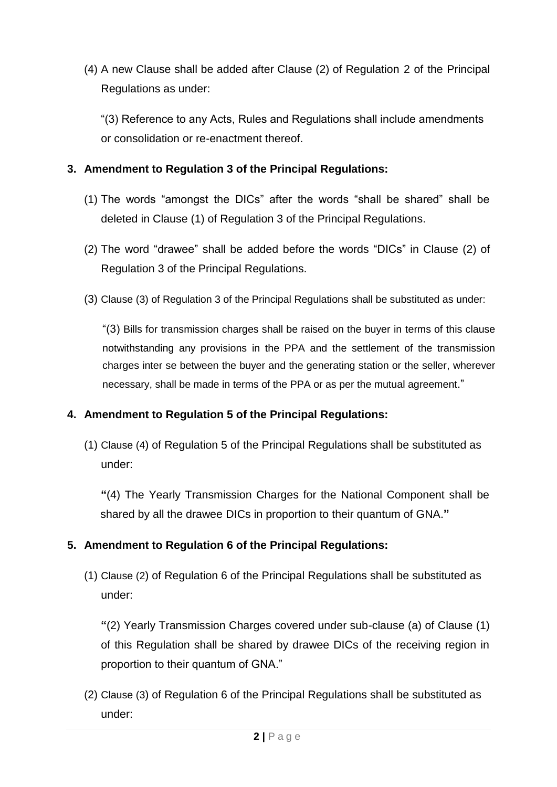(4) A new Clause shall be added after Clause (2) of Regulation 2 of the Principal Regulations as under:

"(3) Reference to any Acts, Rules and Regulations shall include amendments or consolidation or re-enactment thereof.

## **3. Amendment to Regulation 3 of the Principal Regulations:**

- (1) The words "amongst the DICs" after the words "shall be shared" shall be deleted in Clause (1) of Regulation 3 of the Principal Regulations.
- (2) The word "drawee" shall be added before the words "DICs" in Clause (2) of Regulation 3 of the Principal Regulations.
- (3) Clause (3) of Regulation 3 of the Principal Regulations shall be substituted as under:

"(3) Bills for transmission charges shall be raised on the buyer in terms of this clause notwithstanding any provisions in the PPA and the settlement of the transmission charges inter se between the buyer and the generating station or the seller, wherever necessary, shall be made in terms of the PPA or as per the mutual agreement."

## **4. Amendment to Regulation 5 of the Principal Regulations:**

(1) Clause (4) of Regulation 5 of the Principal Regulations shall be substituted as under:

**"**(4) The Yearly Transmission Charges for the National Component shall be shared by all the drawee DICs in proportion to their quantum of GNA.**"**

## **5. Amendment to Regulation 6 of the Principal Regulations:**

(1) Clause (2) of Regulation 6 of the Principal Regulations shall be substituted as under:

**"**(2) Yearly Transmission Charges covered under sub-clause (a) of Clause (1) of this Regulation shall be shared by drawee DICs of the receiving region in proportion to their quantum of GNA."

(2) Clause (3) of Regulation 6 of the Principal Regulations shall be substituted as under: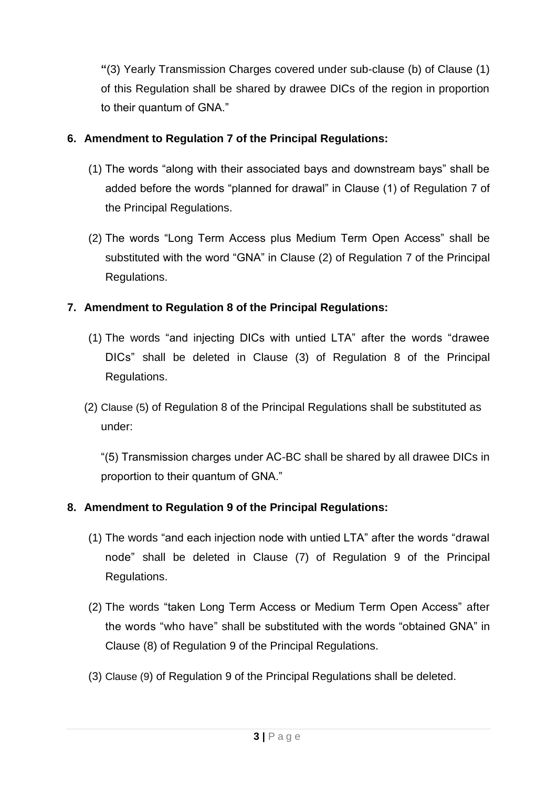**"**(3) Yearly Transmission Charges covered under sub-clause (b) of Clause (1) of this Regulation shall be shared by drawee DICs of the region in proportion to their quantum of GNA."

## **6. Amendment to Regulation 7 of the Principal Regulations:**

- (1) The words "along with their associated bays and downstream bays" shall be added before the words "planned for drawal" in Clause (1) of Regulation 7 of the Principal Regulations.
- (2) The words "Long Term Access plus Medium Term Open Access" shall be substituted with the word "GNA" in Clause (2) of Regulation 7 of the Principal Regulations.

# **7. Amendment to Regulation 8 of the Principal Regulations:**

- (1) The words "and injecting DICs with untied LTA" after the words "drawee DICs" shall be deleted in Clause (3) of Regulation 8 of the Principal Regulations.
- (2) Clause (5) of Regulation 8 of the Principal Regulations shall be substituted as under:

"(5) Transmission charges under AC-BC shall be shared by all drawee DICs in proportion to their quantum of GNA."

## **8. Amendment to Regulation 9 of the Principal Regulations:**

- (1) The words "and each injection node with untied LTA" after the words "drawal node" shall be deleted in Clause (7) of Regulation 9 of the Principal Regulations.
- (2) The words "taken Long Term Access or Medium Term Open Access" after the words "who have" shall be substituted with the words "obtained GNA" in Clause (8) of Regulation 9 of the Principal Regulations.
- (3) Clause (9) of Regulation 9 of the Principal Regulations shall be deleted.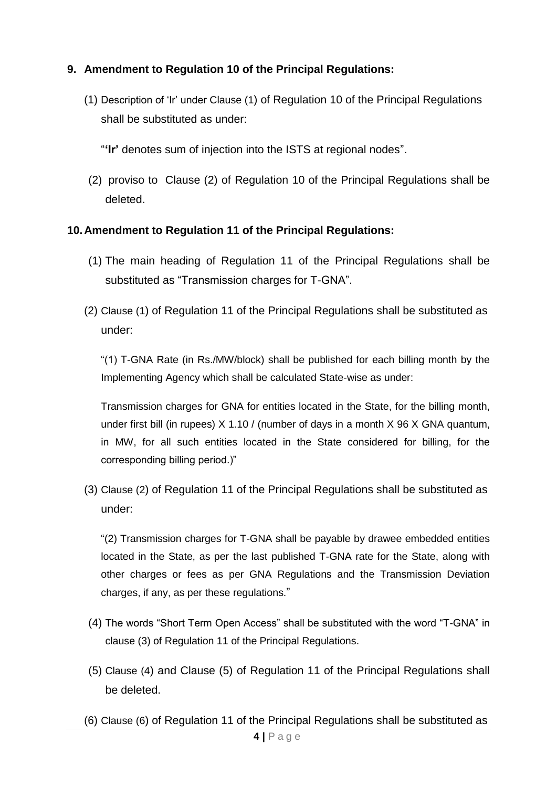### **9. Amendment to Regulation 10 of the Principal Regulations:**

(1) Description of 'Ir' under Clause (1) of Regulation 10 of the Principal Regulations shall be substituted as under:

"**'Ir'** denotes sum of injection into the ISTS at regional nodes".

(2) proviso to Clause (2) of Regulation 10 of the Principal Regulations shall be deleted.

#### **10.Amendment to Regulation 11 of the Principal Regulations:**

- (1) The main heading of Regulation 11 of the Principal Regulations shall be substituted as "Transmission charges for T-GNA".
- (2) Clause (1) of Regulation 11 of the Principal Regulations shall be substituted as under:

"(1) T-GNA Rate (in Rs./MW/block) shall be published for each billing month by the Implementing Agency which shall be calculated State-wise as under:

Transmission charges for GNA for entities located in the State, for the billing month, under first bill (in rupees) X 1.10 / (number of days in a month X 96 X GNA quantum, in MW, for all such entities located in the State considered for billing, for the corresponding billing period.)"

(3) Clause (2) of Regulation 11 of the Principal Regulations shall be substituted as under:

"(2) Transmission charges for T-GNA shall be payable by drawee embedded entities located in the State, as per the last published T-GNA rate for the State, along with other charges or fees as per GNA Regulations and the Transmission Deviation charges, if any, as per these regulations."

- (4) The words "Short Term Open Access" shall be substituted with the word "T-GNA" in clause (3) of Regulation 11 of the Principal Regulations.
- (5) Clause (4) and Clause (5) of Regulation 11 of the Principal Regulations shall be deleted.
- **4 |** P a g e (6) Clause (6) of Regulation 11 of the Principal Regulations shall be substituted as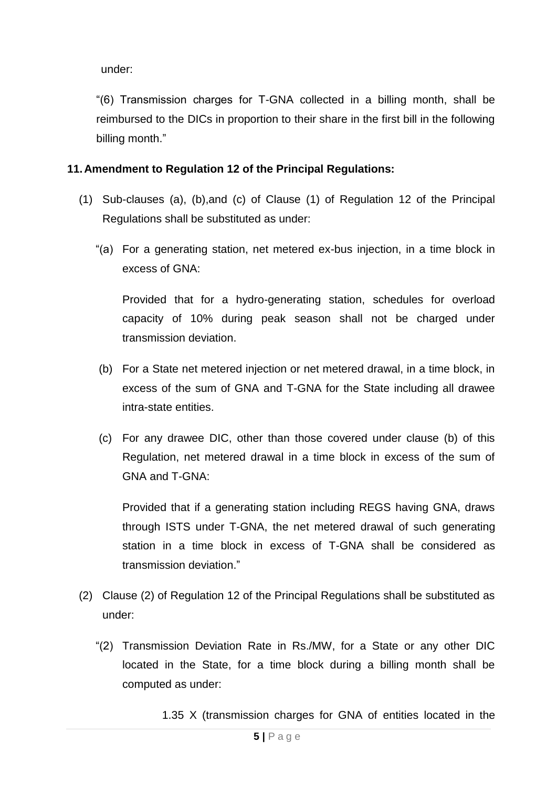under:

"(6) Transmission charges for T-GNA collected in a billing month, shall be reimbursed to the DICs in proportion to their share in the first bill in the following billing month."

### **11.Amendment to Regulation 12 of the Principal Regulations:**

- (1) Sub-clauses (a), (b),and (c) of Clause (1) of Regulation 12 of the Principal Regulations shall be substituted as under:
	- "(a) For a generating station, net metered ex-bus injection, in a time block in excess of GNA:

Provided that for a hydro-generating station, schedules for overload capacity of 10% during peak season shall not be charged under transmission deviation.

- (b) For a State net metered injection or net metered drawal, in a time block, in excess of the sum of GNA and T-GNA for the State including all drawee intra-state entities.
- (c) For any drawee DIC, other than those covered under clause (b) of this Regulation, net metered drawal in a time block in excess of the sum of GNA and T-GNA:

Provided that if a generating station including REGS having GNA, draws through ISTS under T-GNA, the net metered drawal of such generating station in a time block in excess of T-GNA shall be considered as transmission deviation."

- (2) Clause (2) of Regulation 12 of the Principal Regulations shall be substituted as under:
	- "(2) Transmission Deviation Rate in Rs./MW, for a State or any other DIC located in the State, for a time block during a billing month shall be computed as under:

1.35 X (transmission charges for GNA of entities located in the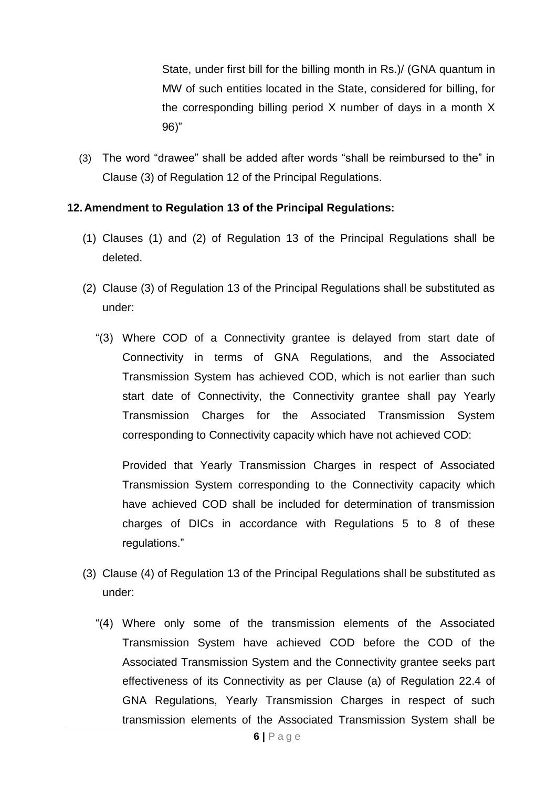State, under first bill for the billing month in Rs.)/ (GNA quantum in MW of such entities located in the State, considered for billing, for the corresponding billing period X number of days in a month X 96)"

(3) The word "drawee" shall be added after words "shall be reimbursed to the" in Clause (3) of Regulation 12 of the Principal Regulations.

### **12.Amendment to Regulation 13 of the Principal Regulations:**

- (1) Clauses (1) and (2) of Regulation 13 of the Principal Regulations shall be deleted.
- (2) Clause (3) of Regulation 13 of the Principal Regulations shall be substituted as under:
	- "(3) Where COD of a Connectivity grantee is delayed from start date of Connectivity in terms of GNA Regulations, and the Associated Transmission System has achieved COD, which is not earlier than such start date of Connectivity, the Connectivity grantee shall pay Yearly Transmission Charges for the Associated Transmission System corresponding to Connectivity capacity which have not achieved COD:

Provided that Yearly Transmission Charges in respect of Associated Transmission System corresponding to the Connectivity capacity which have achieved COD shall be included for determination of transmission charges of DICs in accordance with Regulations 5 to 8 of these regulations."

- (3) Clause (4) of Regulation 13 of the Principal Regulations shall be substituted as under:
	- "(4) Where only some of the transmission elements of the Associated Transmission System have achieved COD before the COD of the Associated Transmission System and the Connectivity grantee seeks part effectiveness of its Connectivity as per Clause (a) of Regulation 22.4 of GNA Regulations, Yearly Transmission Charges in respect of such transmission elements of the Associated Transmission System shall be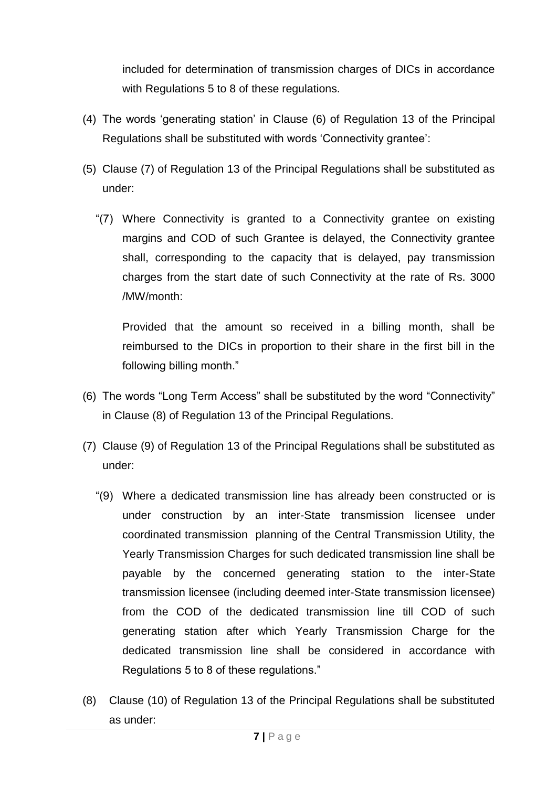included for determination of transmission charges of DICs in accordance with Regulations 5 to 8 of these regulations.

- (4) The words 'generating station' in Clause (6) of Regulation 13 of the Principal Regulations shall be substituted with words 'Connectivity grantee':
- (5) Clause (7) of Regulation 13 of the Principal Regulations shall be substituted as under:
	- "(7) Where Connectivity is granted to a Connectivity grantee on existing margins and COD of such Grantee is delayed, the Connectivity grantee shall, corresponding to the capacity that is delayed, pay transmission charges from the start date of such Connectivity at the rate of Rs. 3000 /MW/month:

Provided that the amount so received in a billing month, shall be reimbursed to the DICs in proportion to their share in the first bill in the following billing month."

- (6) The words "Long Term Access" shall be substituted by the word "Connectivity" in Clause (8) of Regulation 13 of the Principal Regulations.
- (7) Clause (9) of Regulation 13 of the Principal Regulations shall be substituted as under:
	- "(9) Where a dedicated transmission line has already been constructed or is under construction by an inter-State transmission licensee under coordinated transmission planning of the Central Transmission Utility, the Yearly Transmission Charges for such dedicated transmission line shall be payable by the concerned generating station to the inter-State transmission licensee (including deemed inter-State transmission licensee) from the COD of the dedicated transmission line till COD of such generating station after which Yearly Transmission Charge for the dedicated transmission line shall be considered in accordance with Regulations 5 to 8 of these regulations."
- (8) Clause (10) of Regulation 13 of the Principal Regulations shall be substituted as under: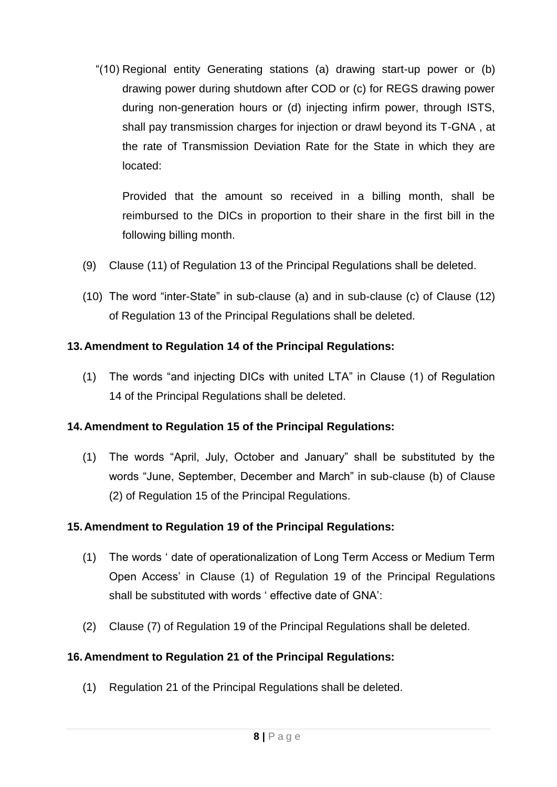"(10) Regional entity Generating stations (a) drawing start-up power or (b) drawing power during shutdown after COD or (c) for REGS drawing power during non-generation hours or (d) injecting infirm power, through ISTS, shall pay transmission charges for injection or drawl beyond its T-GNA , at the rate of Transmission Deviation Rate for the State in which they are located:

Provided that the amount so received in a billing month, shall be reimbursed to the DICs in proportion to their share in the first bill in the following billing month.

- (9) Clause (11) of Regulation 13 of the Principal Regulations shall be deleted.
- (10) The word "inter-State" in sub-clause (a) and in sub-clause (c) of Clause (12) of Regulation 13 of the Principal Regulations shall be deleted.

### **13.Amendment to Regulation 14 of the Principal Regulations:**

(1) The words "and injecting DICs with united LTA" in Clause (1) of Regulation 14 of the Principal Regulations shall be deleted.

## **14.Amendment to Regulation 15 of the Principal Regulations:**

(1) The words "April, July, October and January" shall be substituted by the words "June, September, December and March" in sub-clause (b) of Clause (2) of Regulation 15 of the Principal Regulations.

#### **15.Amendment to Regulation 19 of the Principal Regulations:**

- (1) The words ' date of operationalization of Long Term Access or Medium Term Open Access' in Clause (1) of Regulation 19 of the Principal Regulations shall be substituted with words ' effective date of GNA':
- (2) Clause (7) of Regulation 19 of the Principal Regulations shall be deleted.

## **16.Amendment to Regulation 21 of the Principal Regulations:**

(1) Regulation 21 of the Principal Regulations shall be deleted.